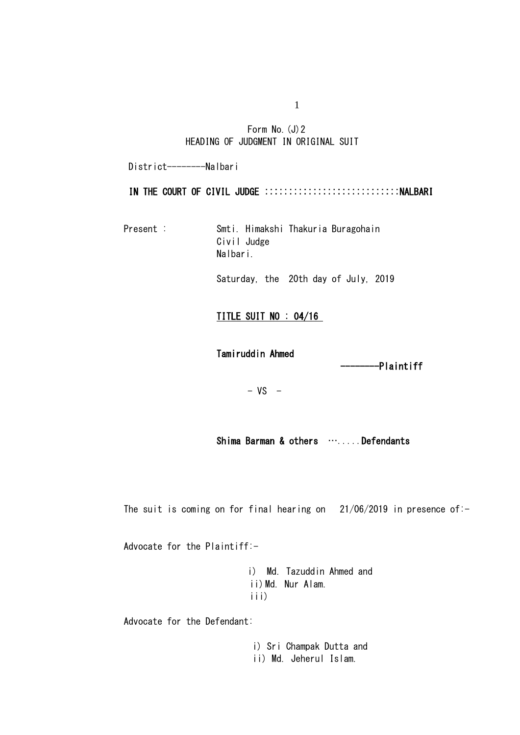## Form No. (J) 2 HEADING OF JUDGMENT IN ORIGINAL SUIT

District---------Nalbari

### IN THE COURT OF CIVIL JUDGE :::::::::::::::::::::::::::::NALBARI

Present : Smti. Himakshi Thakuria Buragohain Civil Judge Nalbari.

Saturday, the 20th day of July, 2019

## TITLE SUIT NO : 04/16

Tamiruddin Ahmed

----------Plaintiff

 $- VS -$ 

Shima Barman & others …....Defendants

The suit is coming on for final hearing on  $21/06/2019$  in presence of:-

Advocate for the Plaintiff:-

i) Md. Tazuddin Ahmed and ii) Md. Nur Alam. iii)

Advocate for the Defendant:

i) Sri Champak Dutta and ii) Md. Jeherul Islam.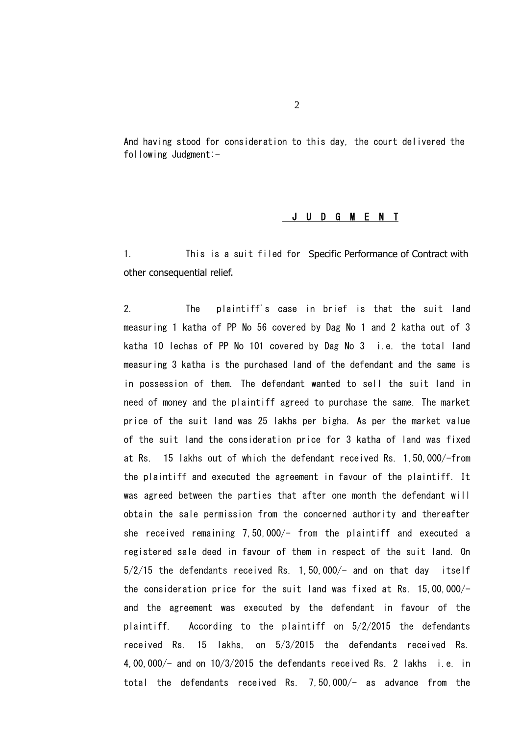And having stood for consideration to this day, the court delivered the following Judgment:-

### J U D G M E N T

1. This is a suit filed for Specific Performance of Contract with other consequential relief.

2. The plaintiff's case in brief is that the suit land measuring 1 katha of PP No 56 covered by Dag No 1 and 2 katha out of 3 katha 10 lechas of PP No 101 covered by Dag No 3 i.e. the total land measuring 3 katha is the purchased land of the defendant and the same is in possession of them. The defendant wanted to sell the suit land in need of money and the plaintiff agreed to purchase the same. The market price of the suit land was 25 lakhs per bigha. As per the market value of the suit land the consideration price for 3 katha of land was fixed at Rs. 15 lakhs out of which the defendant received Rs. 1,50,000/-from the plaintiff and executed the agreement in favour of the plaintiff. It was agreed between the parties that after one month the defendant will obtain the sale permission from the concerned authority and thereafter she received remaining 7,50,000/- from the plaintiff and executed a registered sale deed in favour of them in respect of the suit land. On  $5/2/15$  the defendants received Rs. 1, 50,000/- and on that day itself the consideration price for the suit land was fixed at Rs. 15,00,000/ and the agreement was executed by the defendant in favour of the plaintiff. According to the plaintiff on 5/2/2015 the defendants received Rs. 15 lakhs, on 5/3/2015 the defendants received Rs. 4,00,000/- and on 10/3/2015 the defendants received Rs. 2 lakhs i.e. in total the defendants received Rs. 7,50,000/- as advance from the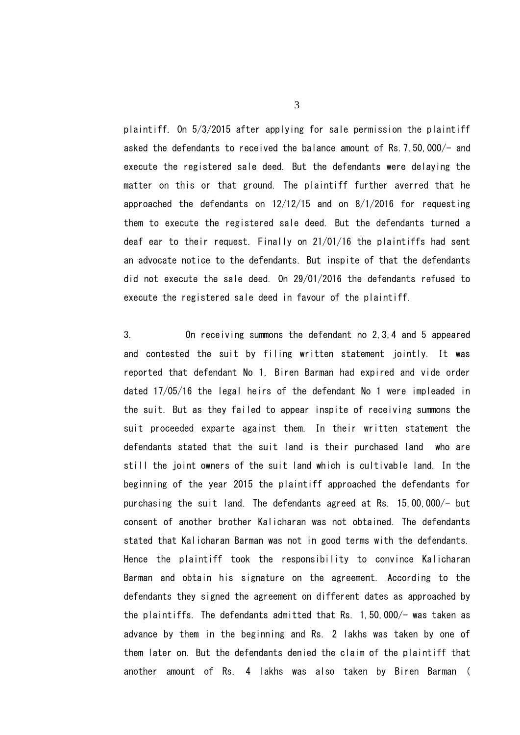plaintiff. On 5/3/2015 after applying for sale permission the plaintiff asked the defendants to received the balance amount of Rs.7,50,000/- and execute the registered sale deed. But the defendants were delaying the matter on this or that ground. The plaintiff further averred that he approached the defendants on 12/12/15 and on 8/1/2016 for requesting them to execute the registered sale deed. But the defendants turned a deaf ear to their request. Finally on 21/01/16 the plaintiffs had sent an advocate notice to the defendants. But inspite of that the defendants did not execute the sale deed. On 29/01/2016 the defendants refused to execute the registered sale deed in favour of the plaintiff.

3. On receiving summons the defendant no 2,3,4 and 5 appeared and contested the suit by filing written statement jointly. It was reported that defendant No 1, Biren Barman had expired and vide order dated 17/05/16 the legal heirs of the defendant No 1 were impleaded in the suit. But as they failed to appear inspite of receiving summons the suit proceeded exparte against them. In their written statement the defendants stated that the suit land is their purchased land who are still the joint owners of the suit land which is cultivable land. In the beginning of the year 2015 the plaintiff approached the defendants for purchasing the suit land. The defendants agreed at Rs. 15,00,000/- but consent of another brother Kalicharan was not obtained. The defendants stated that Kalicharan Barman was not in good terms with the defendants. Hence the plaintiff took the responsibility to convince Kalicharan Barman and obtain his signature on the agreement. According to the defendants they signed the agreement on different dates as approached by the plaintiffs. The defendants admitted that Rs. 1,50,000/- was taken as advance by them in the beginning and Rs. 2 lakhs was taken by one of them later on. But the defendants denied the claim of the plaintiff that another amount of Rs. 4 lakhs was also taken by Biren Barman (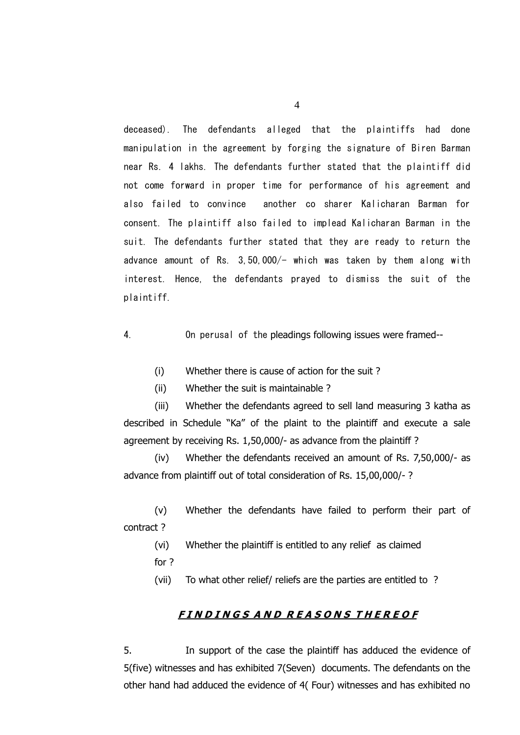deceased). The defendants alleged that the plaintiffs had done manipulation in the agreement by forging the signature of Biren Barman near Rs. 4 lakhs. The defendants further stated that the plaintiff did not come forward in proper time for performance of his agreement and also failed to convince another co sharer Kalicharan Barman for consent. The plaintiff also failed to implead Kalicharan Barman in the suit. The defendants further stated that they are ready to return the advance amount of Rs.  $3,50,000/-$  which was taken by them along with interest. Hence, the defendants prayed to dismiss the suit of the plaintiff.

4. On perusal of the pleadings following issues were framed--

(i) Whether there is cause of action for the suit ?

(ii) Whether the suit is maintainable ?

(iii) Whether the defendants agreed to sell land measuring 3 katha as described in Schedule "Ka" of the plaint to the plaintiff and execute a sale agreement by receiving Rs. 1,50,000/- as advance from the plaintiff ?

(iv) Whether the defendants received an amount of Rs. 7,50,000/- as advance from plaintiff out of total consideration of Rs. 15,00,000/- ?

(v) Whether the defendants have failed to perform their part of contract ?

(vi) Whether the plaintiff is entitled to any relief as claimed

for ?

(vii) To what other relief/ reliefs are the parties are entitled to ?

## **F I N D I N G S A N D R E A S O N S T H E R E O F**

5. In support of the case the plaintiff has adduced the evidence of 5(five) witnesses and has exhibited 7(Seven) documents. The defendants on the other hand had adduced the evidence of 4( Four) witnesses and has exhibited no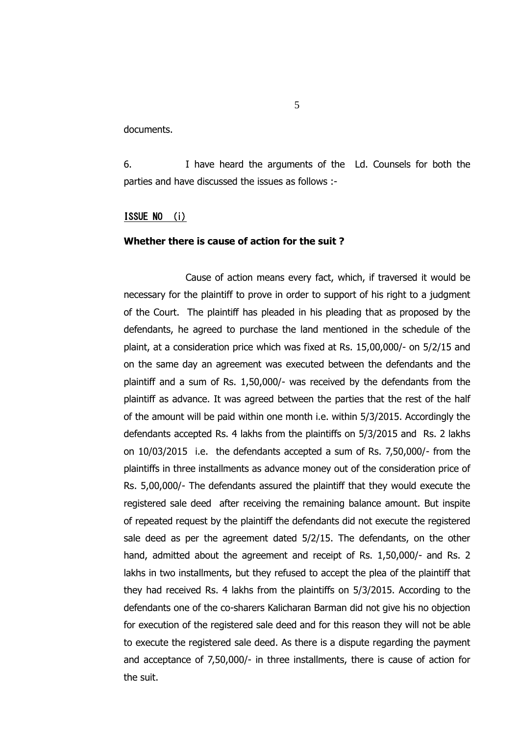documents.

6. I have heard the arguments of the Ld. Counsels for both the parties and have discussed the issues as follows :-

### ISSUE NO (i)

### **Whether there is cause of action for the suit ?**

Cause of action means every fact, which, if traversed it would be necessary for the plaintiff to prove in order to support of his right to a judgment of the Court. The plaintiff has pleaded in his pleading that as proposed by the defendants, he agreed to purchase the land mentioned in the schedule of the plaint, at a consideration price which was fixed at Rs. 15,00,000/- on 5/2/15 and on the same day an agreement was executed between the defendants and the plaintiff and a sum of Rs. 1,50,000/- was received by the defendants from the plaintiff as advance. It was agreed between the parties that the rest of the half of the amount will be paid within one month i.e. within 5/3/2015. Accordingly the defendants accepted Rs. 4 lakhs from the plaintiffs on 5/3/2015 and Rs. 2 lakhs on 10/03/2015 i.e. the defendants accepted a sum of Rs. 7,50,000/- from the plaintiffs in three installments as advance money out of the consideration price of Rs. 5,00,000/- The defendants assured the plaintiff that they would execute the registered sale deed after receiving the remaining balance amount. But inspite of repeated request by the plaintiff the defendants did not execute the registered sale deed as per the agreement dated 5/2/15. The defendants, on the other hand, admitted about the agreement and receipt of Rs. 1,50,000/- and Rs. 2 lakhs in two installments, but they refused to accept the plea of the plaintiff that they had received Rs. 4 lakhs from the plaintiffs on 5/3/2015. According to the defendants one of the co-sharers Kalicharan Barman did not give his no objection for execution of the registered sale deed and for this reason they will not be able to execute the registered sale deed. As there is a dispute regarding the payment and acceptance of 7,50,000/- in three installments, there is cause of action for the suit.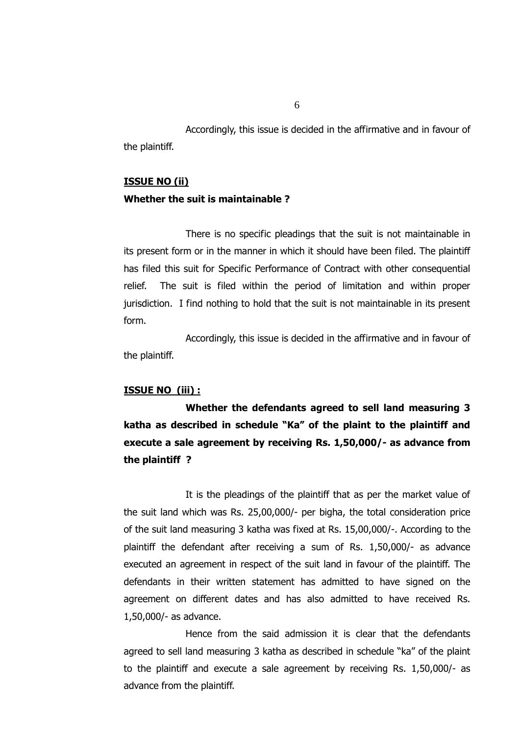Accordingly, this issue is decided in the affirmative and in favour of the plaintiff.

### **ISSUE NO (ii)**

## **Whether the suit is maintainable ?**

There is no specific pleadings that the suit is not maintainable in its present form or in the manner in which it should have been filed. The plaintiff has filed this suit for Specific Performance of Contract with other consequential relief. The suit is filed within the period of limitation and within proper jurisdiction. I find nothing to hold that the suit is not maintainable in its present form.

Accordingly, this issue is decided in the affirmative and in favour of the plaintiff.

### **ISSUE NO (iii) :**

**Whether the defendants agreed to sell land measuring 3 katha as described in schedule "Ka" of the plaint to the plaintiff and execute a sale agreement by receiving Rs. 1,50,000/- as advance from the plaintiff ?**

It is the pleadings of the plaintiff that as per the market value of the suit land which was Rs. 25,00,000/- per bigha, the total consideration price of the suit land measuring 3 katha was fixed at Rs. 15,00,000/-. According to the plaintiff the defendant after receiving a sum of Rs. 1,50,000/- as advance executed an agreement in respect of the suit land in favour of the plaintiff. The defendants in their written statement has admitted to have signed on the agreement on different dates and has also admitted to have received Rs. 1,50,000/- as advance.

Hence from the said admission it is clear that the defendants agreed to sell land measuring 3 katha as described in schedule "ka" of the plaint to the plaintiff and execute a sale agreement by receiving Rs. 1,50,000/- as advance from the plaintiff.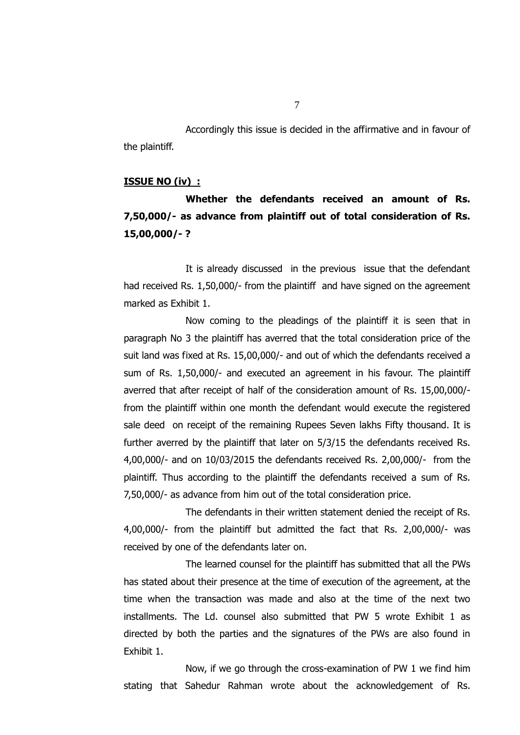Accordingly this issue is decided in the affirmative and in favour of the plaintiff.

### **ISSUE NO (iv) :**

# **Whether the defendants received an amount of Rs. 7,50,000/- as advance from plaintiff out of total consideration of Rs. 15,00,000/- ?**

It is already discussed in the previous issue that the defendant had received Rs. 1,50,000/- from the plaintiff and have signed on the agreement marked as Exhibit 1.

Now coming to the pleadings of the plaintiff it is seen that in paragraph No 3 the plaintiff has averred that the total consideration price of the suit land was fixed at Rs. 15,00,000/- and out of which the defendants received a sum of Rs. 1,50,000/- and executed an agreement in his favour. The plaintiff averred that after receipt of half of the consideration amount of Rs. 15,00,000/ from the plaintiff within one month the defendant would execute the registered sale deed on receipt of the remaining Rupees Seven lakhs Fifty thousand. It is further averred by the plaintiff that later on 5/3/15 the defendants received Rs. 4,00,000/- and on 10/03/2015 the defendants received Rs. 2,00,000/- from the plaintiff. Thus according to the plaintiff the defendants received a sum of Rs. 7,50,000/- as advance from him out of the total consideration price.

The defendants in their written statement denied the receipt of Rs. 4,00,000/- from the plaintiff but admitted the fact that Rs. 2,00,000/- was received by one of the defendants later on.

The learned counsel for the plaintiff has submitted that all the PWs has stated about their presence at the time of execution of the agreement, at the time when the transaction was made and also at the time of the next two installments. The Ld. counsel also submitted that PW 5 wrote Exhibit 1 as directed by both the parties and the signatures of the PWs are also found in Exhibit 1.

Now, if we go through the cross-examination of PW 1 we find him stating that Sahedur Rahman wrote about the acknowledgement of Rs.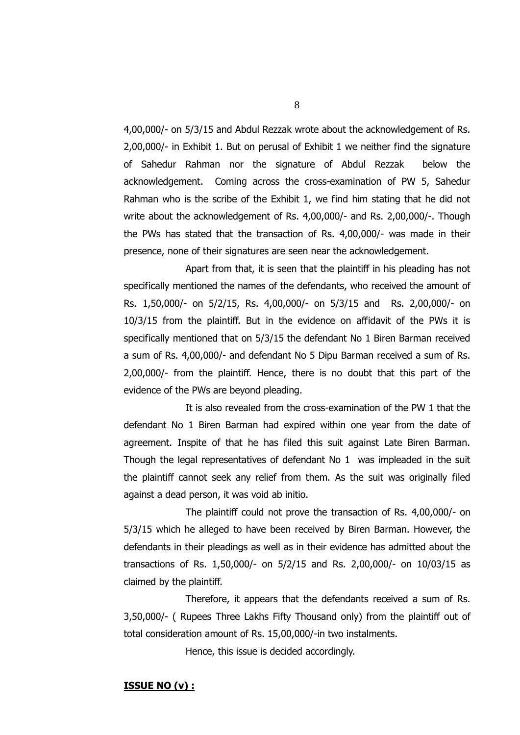4,00,000/- on 5/3/15 and Abdul Rezzak wrote about the acknowledgement of Rs. 2,00,000/- in Exhibit 1. But on perusal of Exhibit 1 we neither find the signature of Sahedur Rahman nor the signature of Abdul Rezzak below the acknowledgement. Coming across the cross-examination of PW 5, Sahedur Rahman who is the scribe of the Exhibit 1, we find him stating that he did not write about the acknowledgement of Rs. 4,00,000/- and Rs. 2,00,000/-. Though the PWs has stated that the transaction of Rs. 4,00,000/- was made in their presence, none of their signatures are seen near the acknowledgement.

Apart from that, it is seen that the plaintiff in his pleading has not specifically mentioned the names of the defendants, who received the amount of Rs. 1,50,000/- on 5/2/15, Rs. 4,00,000/- on 5/3/15 and Rs. 2,00,000/- on 10/3/15 from the plaintiff. But in the evidence on affidavit of the PWs it is specifically mentioned that on 5/3/15 the defendant No 1 Biren Barman received a sum of Rs. 4,00,000/- and defendant No 5 Dipu Barman received a sum of Rs. 2,00,000/- from the plaintiff. Hence, there is no doubt that this part of the evidence of the PWs are beyond pleading.

It is also revealed from the cross-examination of the PW 1 that the defendant No 1 Biren Barman had expired within one year from the date of agreement. Inspite of that he has filed this suit against Late Biren Barman. Though the legal representatives of defendant No 1 was impleaded in the suit the plaintiff cannot seek any relief from them. As the suit was originally filed against a dead person, it was void ab initio.

The plaintiff could not prove the transaction of Rs. 4,00,000/- on 5/3/15 which he alleged to have been received by Biren Barman. However, the defendants in their pleadings as well as in their evidence has admitted about the transactions of Rs. 1,50,000/- on 5/2/15 and Rs. 2,00,000/- on 10/03/15 as claimed by the plaintiff.

Therefore, it appears that the defendants received a sum of Rs. 3,50,000/- ( Rupees Three Lakhs Fifty Thousand only) from the plaintiff out of total consideration amount of Rs. 15,00,000/-in two instalments.

Hence, this issue is decided accordingly.

### **ISSUE NO (v) :**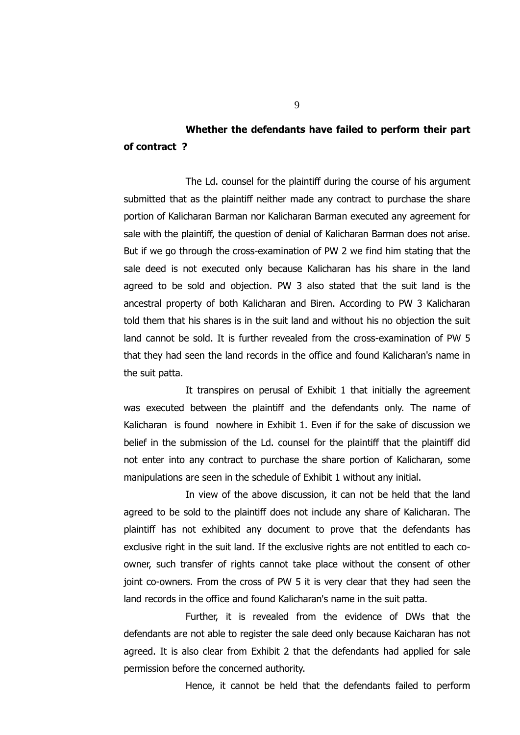## **Whether the defendants have failed to perform their part of contract ?**

The Ld. counsel for the plaintiff during the course of his argument submitted that as the plaintiff neither made any contract to purchase the share portion of Kalicharan Barman nor Kalicharan Barman executed any agreement for sale with the plaintiff, the question of denial of Kalicharan Barman does not arise. But if we go through the cross-examination of PW 2 we find him stating that the sale deed is not executed only because Kalicharan has his share in the land agreed to be sold and objection. PW 3 also stated that the suit land is the ancestral property of both Kalicharan and Biren. According to PW 3 Kalicharan told them that his shares is in the suit land and without his no objection the suit land cannot be sold. It is further revealed from the cross-examination of PW 5 that they had seen the land records in the office and found Kalicharan's name in the suit patta.

It transpires on perusal of Exhibit 1 that initially the agreement was executed between the plaintiff and the defendants only. The name of Kalicharan is found nowhere in Exhibit 1. Even if for the sake of discussion we belief in the submission of the Ld. counsel for the plaintiff that the plaintiff did not enter into any contract to purchase the share portion of Kalicharan, some manipulations are seen in the schedule of Exhibit 1 without any initial.

In view of the above discussion, it can not be held that the land agreed to be sold to the plaintiff does not include any share of Kalicharan. The plaintiff has not exhibited any document to prove that the defendants has exclusive right in the suit land. If the exclusive rights are not entitled to each coowner, such transfer of rights cannot take place without the consent of other joint co-owners. From the cross of PW 5 it is very clear that they had seen the land records in the office and found Kalicharan's name in the suit patta.

Further, it is revealed from the evidence of DWs that the defendants are not able to register the sale deed only because Kaicharan has not agreed. It is also clear from Exhibit 2 that the defendants had applied for sale permission before the concerned authority.

Hence, it cannot be held that the defendants failed to perform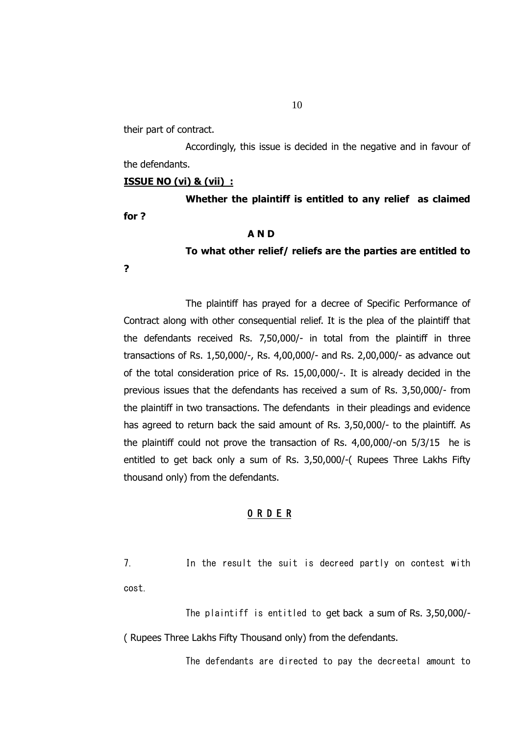their part of contract.

Accordingly, this issue is decided in the negative and in favour of the defendants.

### **ISSUE NO (vi) & (vii) :**

**Whether the plaintiff is entitled to any relief as claimed for ?**

## **A N D**

**To what other relief/ reliefs are the parties are entitled to** 

**?**

The plaintiff has prayed for a decree of Specific Performance of Contract along with other consequential relief. It is the plea of the plaintiff that the defendants received Rs. 7,50,000/- in total from the plaintiff in three transactions of Rs. 1,50,000/-, Rs. 4,00,000/- and Rs. 2,00,000/- as advance out of the total consideration price of Rs. 15,00,000/-. It is already decided in the previous issues that the defendants has received a sum of Rs. 3,50,000/- from the plaintiff in two transactions. The defendants in their pleadings and evidence has agreed to return back the said amount of Rs. 3,50,000/- to the plaintiff. As the plaintiff could not prove the transaction of Rs. 4,00,000/-on 5/3/15 he is entitled to get back only a sum of Rs. 3,50,000/-( Rupees Three Lakhs Fifty thousand only) from the defendants.

### O R D E R

7. In the result the suit is decreed partly on contest with cost.

The plaintiff is entitled to get back a sum of Rs. 3,50,000/- ( Rupees Three Lakhs Fifty Thousand only) from the defendants.

The defendants are directed to pay the decreetal amount to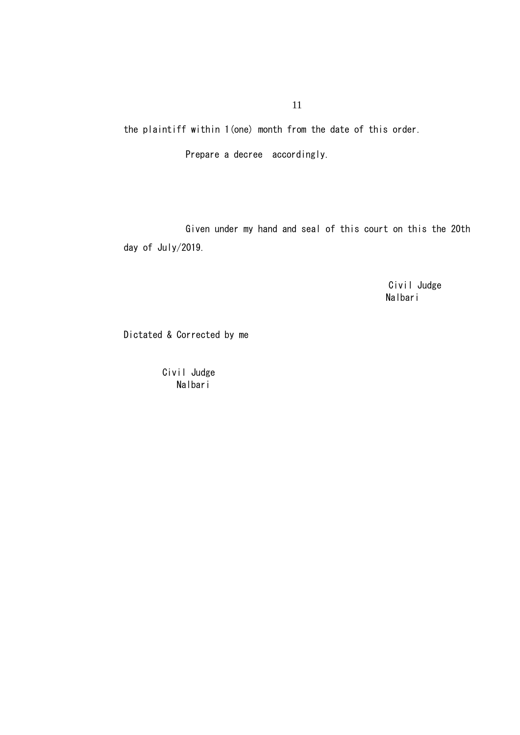11

the plaintiff within 1(one) month from the date of this order.

Prepare a decree accordingly.

Given under my hand and seal of this court on this the 20th day of July/2019.

> Civil Judge Nalbari

Dictated & Corrected by me

 Civil Judge Nalbari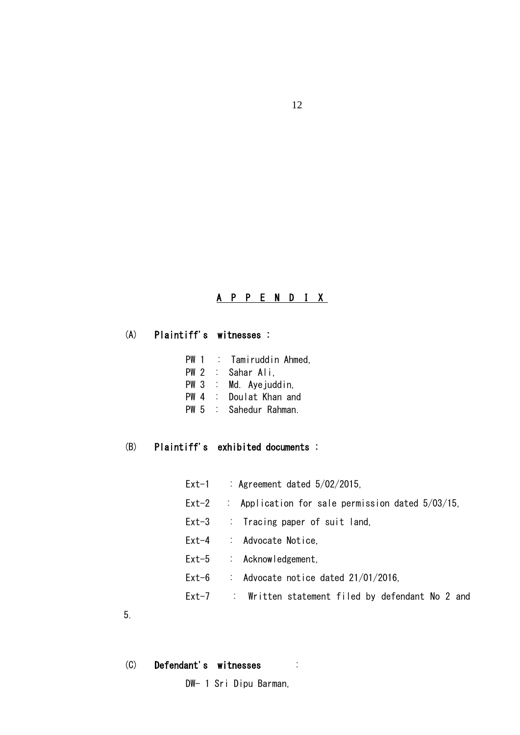## A P P E N D I X

## (A) Plaintiff's witnesses :

- PW 1 : Tamiruddin Ahmed,
- PW 2 : Sahar Ali,
- PW 3 : Md. Ave juddin.
- PW 4 : Doulat Khan and
- PW 5 : Sahedur Rahman.

## (B) Plaintiff's exhibited documents :

- Ext-1 : Agreement dated 5/02/2015,
- Ext-2 : Application for sale permission dated 5/03/15,
- Ext-3 : Tracing paper of suit land,
- Ext-4 : Advocate Notice,
- Ext-5 : Acknowledgement,
- Ext-6 : Advocate notice dated 21/01/2016.
- Ext-7 : Written statement filed by defendant No 2 and

5.

(C) Defendant's witnesses :

DW- 1 Sri Dipu Barman,